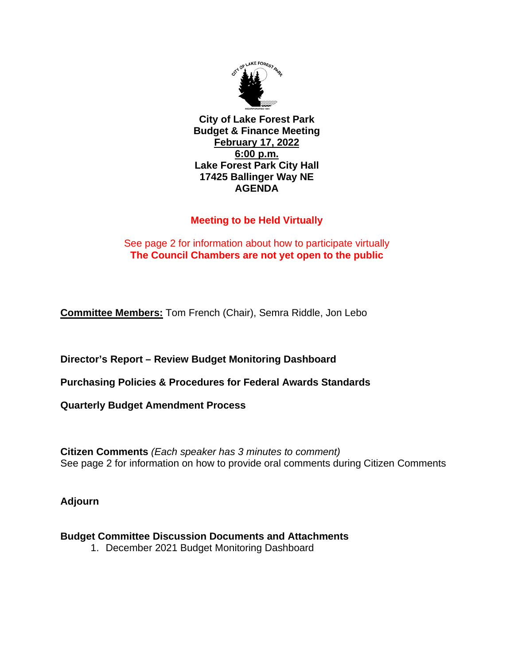

**City of Lake Forest Park Budget & Finance Meeting February 17, 2022 6:00 p.m. Lake Forest Park City Hall 17425 Ballinger Way NE AGENDA**

## **Meeting to be Held Virtually**

## See page 2 for information about how to participate virtually **The Council Chambers are not yet open to the public**

**Committee Members:** Tom French (Chair), Semra Riddle, Jon Lebo

**Director's Report – Review Budget Monitoring Dashboard**

**Purchasing Policies & Procedures for Federal Awards Standards**

**Quarterly Budget Amendment Process**

**Citizen Comments** *(Each speaker has 3 minutes to comment)* See page 2 for information on how to provide oral comments during Citizen Comments

**Adjourn**

## **Budget Committee Discussion Documents and Attachments**

1. December 2021 Budget Monitoring Dashboard